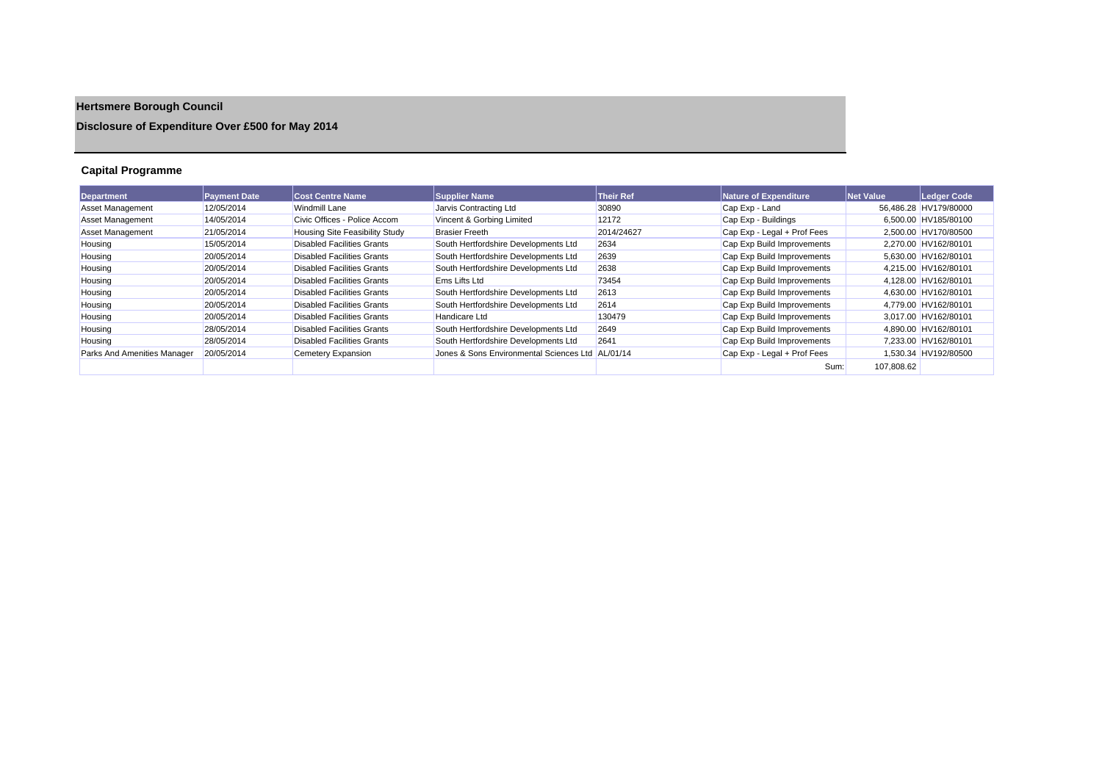# **Hertsmere Borough Council**

## **Disclosure of Expenditure Over £500 for May 2014**

## **Capital Programme**

| <b>Department</b>           | <b>Payment Date</b> | <b>Cost Centre Name</b>               | <b>Supplier Name</b>                             | <b>Their Ref</b> | Nature of Expenditure       | <b>Net Value</b> | Ledger Code           |
|-----------------------------|---------------------|---------------------------------------|--------------------------------------------------|------------------|-----------------------------|------------------|-----------------------|
| <b>Asset Management</b>     | 12/05/2014          | <b>Windmill Lane</b>                  | Jarvis Contracting Ltd                           | 30890            | Cap Exp - Land              |                  | 56.486.28 HV179/80000 |
| Asset Management            | 14/05/2014          | Civic Offices - Police Accom          | Vincent & Gorbing Limited                        | 12172            | Cap Exp - Buildings         |                  | 6.500.00 HV185/80100  |
| <b>Asset Management</b>     | 21/05/2014          | <b>Housing Site Feasibility Study</b> | <b>Brasier Freeth</b>                            | 2014/24627       | Cap Exp - Legal + Prof Fees |                  | 2.500.00 HV170/80500  |
| Housing                     | 15/05/2014          | <b>Disabled Facilities Grants</b>     | South Hertfordshire Developments Ltd             | 2634             | Cap Exp Build Improvements  |                  | 2.270.00 HV162/80101  |
| Housing                     | 20/05/2014          | <b>Disabled Facilities Grants</b>     | South Hertfordshire Developments Ltd             | 2639             | Cap Exp Build Improvements  |                  | 5,630.00 HV162/80101  |
| Housing                     | 20/05/2014          | <b>Disabled Facilities Grants</b>     | South Hertfordshire Developments Ltd             | 2638             | Cap Exp Build Improvements  |                  | 4.215.00 HV162/80101  |
| Housing                     | 20/05/2014          | Disabled Facilities Grants            | Ems Lifts Ltd                                    | 73454            | Cap Exp Build Improvements  |                  | 4.128.00 HV162/80101  |
| Housing                     | 20/05/2014          | <b>Disabled Facilities Grants</b>     | South Hertfordshire Developments Ltd             | 2613             | Cap Exp Build Improvements  |                  | 4.630.00 HV162/80101  |
| Housing                     | 20/05/2014          | Disabled Facilities Grants            | South Hertfordshire Developments Ltd             | 2614             | Cap Exp Build Improvements  |                  | 4.779.00 HV162/80101  |
| Housing                     | 20/05/2014          | <b>Disabled Facilities Grants</b>     | Handicare Ltd                                    | 130479           | Cap Exp Build Improvements  |                  | 3,017.00 HV162/80101  |
| Housing                     | 28/05/2014          | Disabled Facilities Grants            | South Hertfordshire Developments Ltd             | 2649             | Cap Exp Build Improvements  |                  | 4.890.00 HV162/80101  |
| Housing                     | 28/05/2014          | <b>Disabled Facilities Grants</b>     | South Hertfordshire Developments Ltd             | 2641             | Cap Exp Build Improvements  |                  | 7.233.00 HV162/80101  |
| Parks And Amenities Manager | 20/05/2014          | Cemetery Expansion                    | Jones & Sons Environmental Sciences Ltd AL/01/14 |                  | Cap Exp - Legal + Prof Fees |                  | 1,530.34 HV192/80500  |
|                             |                     |                                       |                                                  |                  | Sum:                        | 107,808.62       |                       |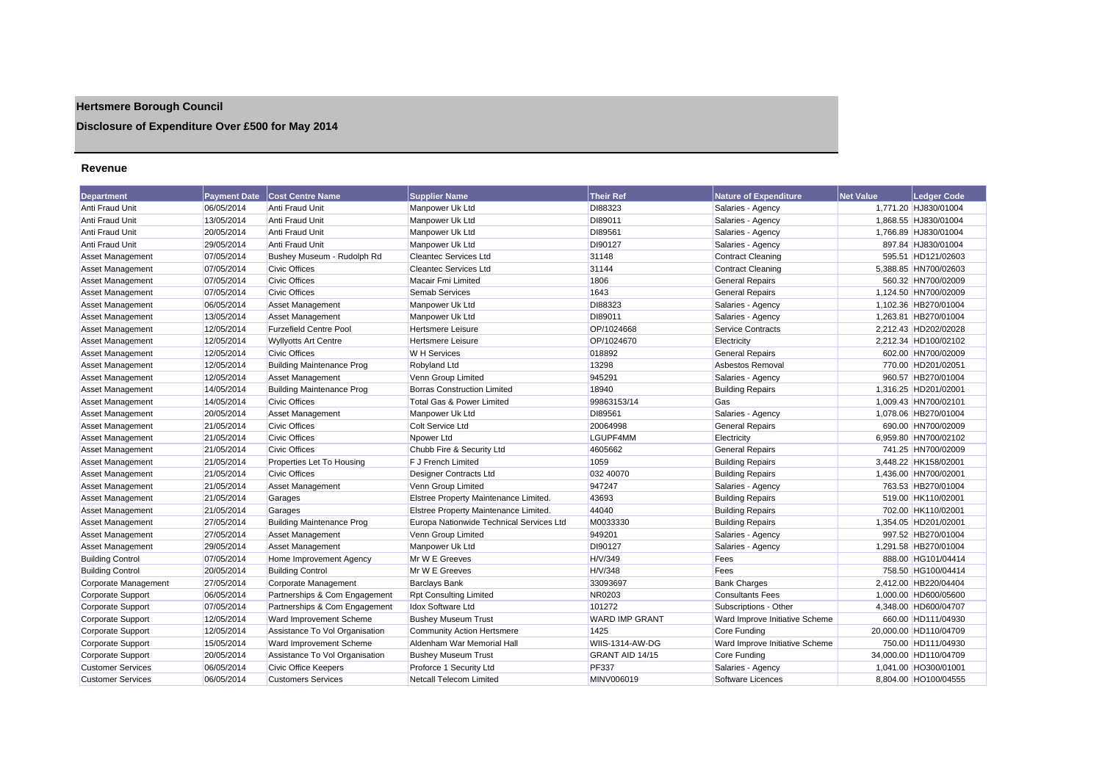## **Hertsmere Borough Council**

## **Disclosure of Expenditure Over £500 for May 2014**

#### **Revenue**

| Department               | <b>Payment Date</b> | <b>Cost Centre Name</b>          | <b>Supplier Name</b>                     | <b>Their Ref</b>      | <b>Nature of Expenditure</b>   | <b>Net Value</b> | <b>Ledger Code</b>    |
|--------------------------|---------------------|----------------------------------|------------------------------------------|-----------------------|--------------------------------|------------------|-----------------------|
| Anti Fraud Unit          | 06/05/2014          | Anti Fraud Unit                  | Manpower Uk Ltd                          | DI88323               | Salaries - Agency              |                  | 1,771.20 HJ830/01004  |
| <b>Anti Fraud Unit</b>   | 13/05/2014          | Anti Fraud Unit                  | Manpower Uk Ltd                          | DI89011               | Salaries - Agency              |                  | 1,868.55 HJ830/01004  |
| Anti Fraud Unit          | 20/05/2014          | Anti Fraud Unit                  | Manpower Uk Ltd                          | DI89561               | Salaries - Agency              |                  | 1,766.89 HJ830/01004  |
| Anti Fraud Unit          | 29/05/2014          | Anti Fraud Unit                  | Manpower Uk Ltd                          | DI90127               | Salaries - Agency              |                  | 897.84 HJ830/01004    |
| <b>Asset Management</b>  | 07/05/2014          | Bushey Museum - Rudolph Rd       | <b>Cleantec Services Ltd</b>             | 31148                 | Contract Cleaning              |                  | 595.51 HD121/02603    |
| Asset Management         | 07/05/2014          | <b>Civic Offices</b>             | <b>Cleantec Services Ltd</b>             | 31144                 | <b>Contract Cleaning</b>       |                  | 5,388.85 HN700/02603  |
| <b>Asset Management</b>  | 07/05/2014          | <b>Civic Offices</b>             | Macair Fmi Limited                       | 1806                  | <b>General Repairs</b>         |                  | 560.32 HN700/02009    |
| Asset Management         | 07/05/2014          | <b>Civic Offices</b>             | Semab Services                           | 1643                  | <b>General Repairs</b>         |                  | 1,124.50 HN700/02009  |
| <b>Asset Management</b>  | 06/05/2014          | <b>Asset Management</b>          | Manpower Uk Ltd                          | DI88323               | Salaries - Agency              |                  | 1,102.36 HB270/01004  |
| <b>Asset Management</b>  | 13/05/2014          | <b>Asset Management</b>          | Manpower Uk Ltd                          | DI89011               | Salaries - Agency              |                  | 1,263.81 HB270/01004  |
| Asset Management         | 12/05/2014          | <b>Furzefield Centre Pool</b>    | <b>Hertsmere Leisure</b>                 | OP/1024668            | <b>Service Contracts</b>       |                  | 2,212.43 HD202/02028  |
| Asset Management         | 12/05/2014          | <b>Wyllyotts Art Centre</b>      | <b>Hertsmere Leisure</b>                 | OP/1024670            | Electricity                    |                  | 2.212.34 HD100/02102  |
| Asset Management         | 12/05/2014          | <b>Civic Offices</b>             | W H Services                             | 018892                | <b>General Repairs</b>         |                  | 602.00 HN700/02009    |
| Asset Management         | 12/05/2014          | <b>Building Maintenance Prog</b> | Robyland Ltd                             | 13298                 | Asbestos Removal               |                  | 770.00 HD201/02051    |
| <b>Asset Management</b>  | 12/05/2014          | <b>Asset Management</b>          | Venn Group Limited                       | 945291                | Salaries - Agency              |                  | 960.57 HB270/01004    |
| Asset Management         | 14/05/2014          | <b>Building Maintenance Prog</b> | <b>Borras Construction Limited</b>       | 18940                 | <b>Building Repairs</b>        |                  | 1.316.25 HD201/02001  |
| Asset Management         | 14/05/2014          | <b>Civic Offices</b>             | Total Gas & Power Limited                | 99863153/14           | Gas                            |                  | 1,009.43 HN700/02101  |
| <b>Asset Management</b>  | 20/05/2014          | <b>Asset Management</b>          | Manpower Uk Ltd                          | DI89561               | Salaries - Agency              |                  | 1,078.06 HB270/01004  |
| Asset Management         | 21/05/2014          | <b>Civic Offices</b>             | Colt Service Ltd                         | 20064998              | <b>General Repairs</b>         |                  | 690.00 HN700/02009    |
| <b>Asset Management</b>  | 21/05/2014          | <b>Civic Offices</b>             | Npower Ltd                               | LGUPF4MM              | Electricity                    |                  | 6,959.80 HN700/02102  |
| Asset Management         | 21/05/2014          | <b>Civic Offices</b>             | Chubb Fire & Security Ltd                | 4605662               | <b>General Repairs</b>         |                  | 741.25 HN700/02009    |
| Asset Management         | 21/05/2014          | Properties Let To Housing        | F J French Limited                       | 1059                  | <b>Building Repairs</b>        |                  | 3,448.22 HK158/02001  |
| <b>Asset Management</b>  | 21/05/2014          | <b>Civic Offices</b>             | Designer Contracts Ltd                   | 032 40070             | <b>Building Repairs</b>        |                  | 1,436.00 HN700/02001  |
| Asset Management         | 21/05/2014          | <b>Asset Management</b>          | Venn Group Limited                       | 947247                | Salaries - Agency              |                  | 763.53 HB270/01004    |
| <b>Asset Management</b>  | 21/05/2014          | Garages                          | Elstree Property Maintenance Limited.    | 43693                 | <b>Building Repairs</b>        |                  | 519.00 HK110/02001    |
| Asset Management         | 21/05/2014          | Garages                          | Elstree Property Maintenance Limited.    | 44040                 | <b>Building Repairs</b>        |                  | 702.00 HK110/02001    |
| Asset Management         | 27/05/2014          | <b>Building Maintenance Prog</b> | Europa Nationwide Technical Services Ltd | M0033330              | <b>Building Repairs</b>        |                  | 1,354.05 HD201/02001  |
| Asset Management         | 27/05/2014          | Asset Management                 | Venn Group Limited                       | 949201                | Salaries - Agency              |                  | 997.52 HB270/01004    |
| <b>Asset Management</b>  | 29/05/2014          | <b>Asset Management</b>          | Manpower Uk Ltd                          | DI90127               | Salaries - Agency              |                  | 1.291.58 HB270/01004  |
| <b>Building Control</b>  | 07/05/2014          | Home Improvement Agency          | Mr W E Greeves                           | H/V/349               | Fees                           |                  | 888.00 HG101/04414    |
| Building Control         | 20/05/2014          | <b>Building Control</b>          | Mr W E Greeves                           | H/V/348               | Fees                           |                  | 758.50 HG100/04414    |
| Corporate Management     | 27/05/2014          | Corporate Management             | <b>Barclays Bank</b>                     | 33093697              | <b>Bank Charges</b>            |                  | 2,412.00 HB220/04404  |
| Corporate Support        | 06/05/2014          | Partnerships & Com Engagement    | <b>Rpt Consulting Limited</b>            | NR0203                | <b>Consultants Fees</b>        |                  | 1,000.00 HD600/05600  |
| Corporate Support        | 07/05/2014          | Partnerships & Com Engagement    | Idox Software Ltd                        | 101272                | Subscriptions - Other          |                  | 4,348.00 HD600/04707  |
| Corporate Support        | 12/05/2014          | Ward Improvement Scheme          | <b>Bushey Museum Trust</b>               | <b>WARD IMP GRANT</b> | Ward Improve Initiative Scheme |                  | 660.00 HD111/04930    |
| Corporate Support        | 12/05/2014          | Assistance To Vol Organisation   | <b>Community Action Hertsmere</b>        | 1425                  | Core Funding                   |                  | 20,000.00 HD110/04709 |
| Corporate Support        | 15/05/2014          | Ward Improvement Scheme          | Aldenham War Memorial Hall               | WIIS-1314-AW-DG       | Ward Improve Initiative Scheme |                  | 750.00 HD111/04930    |
| <b>Corporate Support</b> | 20/05/2014          | Assistance To Vol Organisation   | <b>Bushey Museum Trust</b>               | GRANT AID 14/15       | Core Funding                   |                  | 34.000.00 HD110/04709 |
| <b>Customer Services</b> | 06/05/2014          | <b>Civic Office Keepers</b>      | Proforce 1 Security Ltd                  | <b>PF337</b>          | Salaries - Agency              |                  | 1.041.00 HO300/01001  |
| <b>Customer Services</b> | 06/05/2014          | <b>Customers Services</b>        | Netcall Telecom Limited                  | MINV006019            | Software Licences              |                  | 8,804.00 HO100/04555  |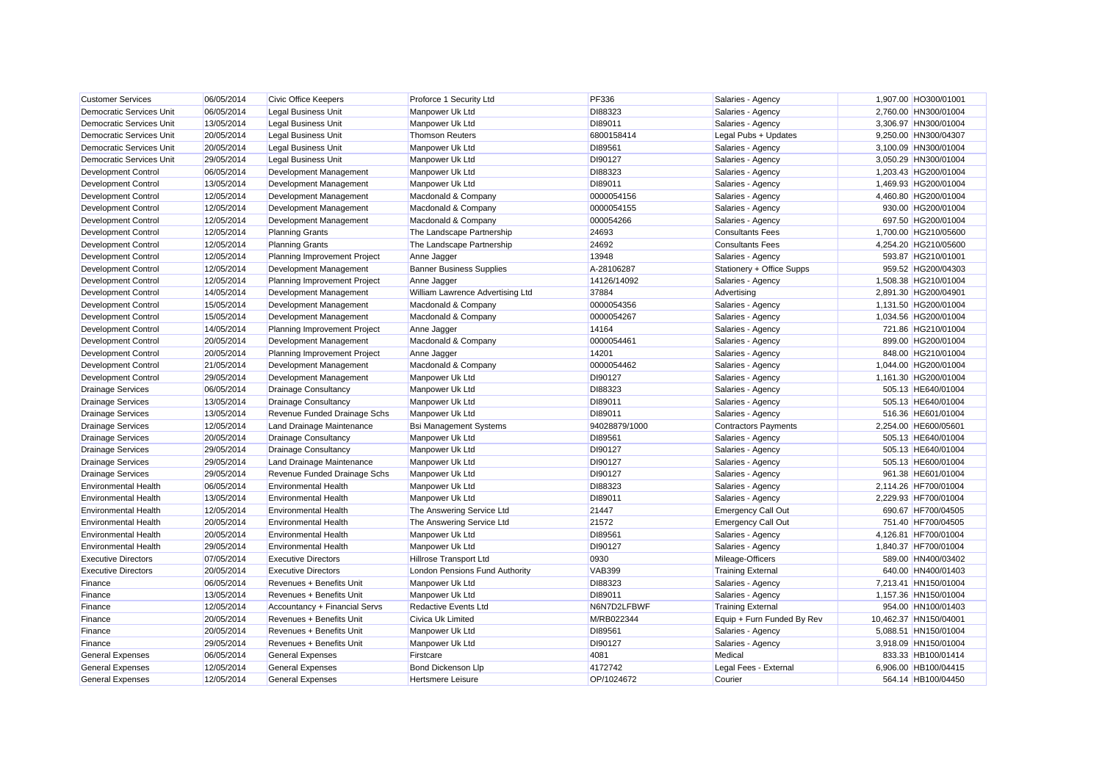| <b>Customer Services</b>        | 06/05/2014 | <b>Civic Office Keepers</b>   | Proforce 1 Security Ltd          | <b>PF336</b>  | Salaries - Agency           | 1,907.00 HO300/01001  |
|---------------------------------|------------|-------------------------------|----------------------------------|---------------|-----------------------------|-----------------------|
| Democratic Services Unit        | 06/05/2014 | <b>Legal Business Unit</b>    | Manpower Uk Ltd                  | DI88323       | Salaries - Agency           | 2,760.00 HN300/01004  |
| Democratic Services Unit        | 13/05/2014 | <b>Legal Business Unit</b>    | Manpower Uk Ltd                  | DI89011       | Salaries - Agency           | 3,306.97 HN300/01004  |
| Democratic Services Unit        | 20/05/2014 | <b>Legal Business Unit</b>    | <b>Thomson Reuters</b>           | 6800158414    | Legal Pubs + Updates        | 9,250.00 HN300/04307  |
| <b>Democratic Services Unit</b> | 20/05/2014 | <b>Legal Business Unit</b>    | Manpower Uk Ltd                  | DI89561       | Salaries - Agency           | 3,100.09 HN300/01004  |
| <b>Democratic Services Unit</b> | 29/05/2014 | <b>Legal Business Unit</b>    | Manpower Uk Ltd                  | DI90127       | Salaries - Agency           | 3,050.29 HN300/01004  |
| <b>Development Control</b>      | 06/05/2014 | Development Management        | Manpower Uk Ltd                  | DI88323       | Salaries - Agency           | 1,203.43 HG200/01004  |
| <b>Development Control</b>      | 13/05/2014 | Development Management        | Manpower Uk Ltd                  | DI89011       | Salaries - Agency           | 1,469.93 HG200/01004  |
| <b>Development Control</b>      | 12/05/2014 | Development Management        | Macdonald & Company              | 0000054156    | Salaries - Agency           | 4,460.80 HG200/01004  |
| <b>Development Control</b>      | 12/05/2014 | Development Management        | Macdonald & Company              | 0000054155    | Salaries - Agency           | 930.00 HG200/01004    |
| <b>Development Control</b>      | 12/05/2014 | Development Management        | Macdonald & Company              | 000054266     | Salaries - Agency           | 697.50 HG200/01004    |
| <b>Development Control</b>      | 12/05/2014 | <b>Planning Grants</b>        | The Landscape Partnership        | 24693         | <b>Consultants Fees</b>     | 1,700.00 HG210/05600  |
| <b>Development Control</b>      | 12/05/2014 | <b>Planning Grants</b>        | The Landscape Partnership        | 24692         | <b>Consultants Fees</b>     | 4,254.20 HG210/05600  |
| <b>Development Control</b>      | 12/05/2014 | Planning Improvement Project  | Anne Jagger                      | 13948         | Salaries - Agency           | 593.87 HG210/01001    |
| <b>Development Control</b>      | 12/05/2014 | Development Management        | <b>Banner Business Supplies</b>  | A-28106287    | Stationery + Office Supps   | 959.52 HG200/04303    |
| <b>Development Control</b>      | 12/05/2014 | Planning Improvement Project  | Anne Jagger                      | 14126/14092   | Salaries - Agency           | 1,508.38 HG210/01004  |
| <b>Development Control</b>      | 14/05/2014 | Development Management        | William Lawrence Advertising Ltd | 37884         | Advertising                 | 2,891.30 HG200/04901  |
| <b>Development Control</b>      | 15/05/2014 | Development Management        | Macdonald & Company              | 0000054356    | Salaries - Agency           | 1,131.50 HG200/01004  |
| <b>Development Control</b>      | 15/05/2014 | Development Management        | Macdonald & Company              | 0000054267    | Salaries - Agency           | 1,034.56 HG200/01004  |
| <b>Development Control</b>      | 14/05/2014 | Planning Improvement Project  | Anne Jagger                      | 14164         | Salaries - Agency           | 721.86 HG210/01004    |
| <b>Development Control</b>      | 20/05/2014 | Development Management        | Macdonald & Company              | 0000054461    | Salaries - Agency           | 899.00 HG200/01004    |
| <b>Development Control</b>      | 20/05/2014 | Planning Improvement Project  | Anne Jagger                      | 14201         | Salaries - Agency           | 848.00 HG210/01004    |
| <b>Development Control</b>      | 21/05/2014 | Development Management        | Macdonald & Company              | 0000054462    | Salaries - Agency           | 1,044.00 HG200/01004  |
| <b>Development Control</b>      | 29/05/2014 | Development Management        | Manpower Uk Ltd                  | DI90127       | Salaries - Agency           | 1,161.30 HG200/01004  |
| <b>Drainage Services</b>        | 06/05/2014 | <b>Drainage Consultancy</b>   | Manpower Uk Ltd                  | DI88323       | Salaries - Agency           | 505.13 HE640/01004    |
| <b>Drainage Services</b>        | 13/05/2014 | <b>Drainage Consultancy</b>   | Manpower Uk Ltd                  | DI89011       | Salaries - Agency           | 505.13 HE640/01004    |
| <b>Drainage Services</b>        | 13/05/2014 | Revenue Funded Drainage Schs  | Manpower Uk Ltd                  | DI89011       | Salaries - Agency           | 516.36 HE601/01004    |
| <b>Drainage Services</b>        | 12/05/2014 | Land Drainage Maintenance     | <b>Bsi Management Systems</b>    | 94028879/1000 | <b>Contractors Payments</b> | 2,254.00 HE600/05601  |
| <b>Drainage Services</b>        | 20/05/2014 | <b>Drainage Consultancy</b>   | Manpower Uk Ltd                  | DI89561       | Salaries - Agency           | 505.13 HE640/01004    |
| <b>Drainage Services</b>        | 29/05/2014 | <b>Drainage Consultancy</b>   | Manpower Uk Ltd                  | DI90127       | Salaries - Agency           | 505.13 HE640/01004    |
| <b>Drainage Services</b>        | 29/05/2014 | Land Drainage Maintenance     | Manpower Uk Ltd                  | DI90127       | Salaries - Agency           | 505.13 HE600/01004    |
| <b>Drainage Services</b>        | 29/05/2014 | Revenue Funded Drainage Schs  | Manpower Uk Ltd                  | DI90127       | Salaries - Agency           | 961.38 HE601/01004    |
| <b>Environmental Health</b>     | 06/05/2014 | <b>Environmental Health</b>   | Manpower Uk Ltd                  | DI88323       | Salaries - Agency           | 2,114.26 HF700/01004  |
| <b>Environmental Health</b>     | 13/05/2014 | <b>Environmental Health</b>   | Manpower Uk Ltd                  | DI89011       | Salaries - Agency           | 2,229.93 HF700/01004  |
| <b>Environmental Health</b>     | 12/05/2014 | <b>Environmental Health</b>   | The Answering Service Ltd        | 21447         | <b>Emergency Call Out</b>   | 690.67 HF700/04505    |
| <b>Environmental Health</b>     | 20/05/2014 | <b>Environmental Health</b>   | The Answering Service Ltd        | 21572         | <b>Emergency Call Out</b>   | 751.40 HF700/04505    |
| <b>Environmental Health</b>     | 20/05/2014 | <b>Environmental Health</b>   | Manpower Uk Ltd                  | DI89561       | Salaries - Agency           | 4,126.81 HF700/01004  |
| <b>Environmental Health</b>     | 29/05/2014 | <b>Environmental Health</b>   | Manpower Uk Ltd                  | DI90127       | Salaries - Agency           | 1,840.37 HF700/01004  |
| <b>Executive Directors</b>      | 07/05/2014 | <b>Executive Directors</b>    | <b>Hillrose Transport Ltd</b>    | 0930          | Mileage-Officers            | 589.00 HN400/03402    |
| <b>Executive Directors</b>      | 20/05/2014 | <b>Executive Directors</b>    | London Pensions Fund Authority   | <b>VAB399</b> | <b>Training External</b>    | 640.00 HN400/01403    |
| Finance                         | 06/05/2014 | Revenues + Benefits Unit      | Manpower Uk Ltd                  | DI88323       | Salaries - Agency           | 7,213.41 HN150/01004  |
| Finance                         | 13/05/2014 | Revenues + Benefits Unit      | Manpower Uk Ltd                  | DI89011       | Salaries - Agency           | 1,157.36 HN150/01004  |
| Finance                         | 12/05/2014 | Accountancy + Financial Servs | <b>Redactive Events Ltd</b>      | N6N7D2LFBWF   | <b>Training External</b>    | 954.00 HN100/01403    |
| Finance                         | 20/05/2014 | Revenues + Benefits Unit      | <b>Civica Uk Limited</b>         | M/RB022344    | Equip + Furn Funded By Rev  | 10,462.37 HN150/04001 |
| Finance                         | 20/05/2014 | Revenues + Benefits Unit      | Manpower Uk Ltd                  | DI89561       | Salaries - Agency           | 5,088.51 HN150/01004  |
| Finance                         | 29/05/2014 | Revenues + Benefits Unit      | Manpower Uk Ltd                  | DI90127       | Salaries - Agency           | 3,918.09 HN150/01004  |
| <b>General Expenses</b>         | 06/05/2014 | <b>General Expenses</b>       | Firstcare                        | 4081          | Medical                     | 833.33 HB100/01414    |
| <b>General Expenses</b>         | 12/05/2014 | <b>General Expenses</b>       | <b>Bond Dickenson Llp</b>        | 4172742       | Legal Fees - External       | 6,906.00 HB100/04415  |
| <b>General Expenses</b>         | 12/05/2014 | <b>General Expenses</b>       | <b>Hertsmere Leisure</b>         | OP/1024672    | Courier                     | 564.14 HB100/04450    |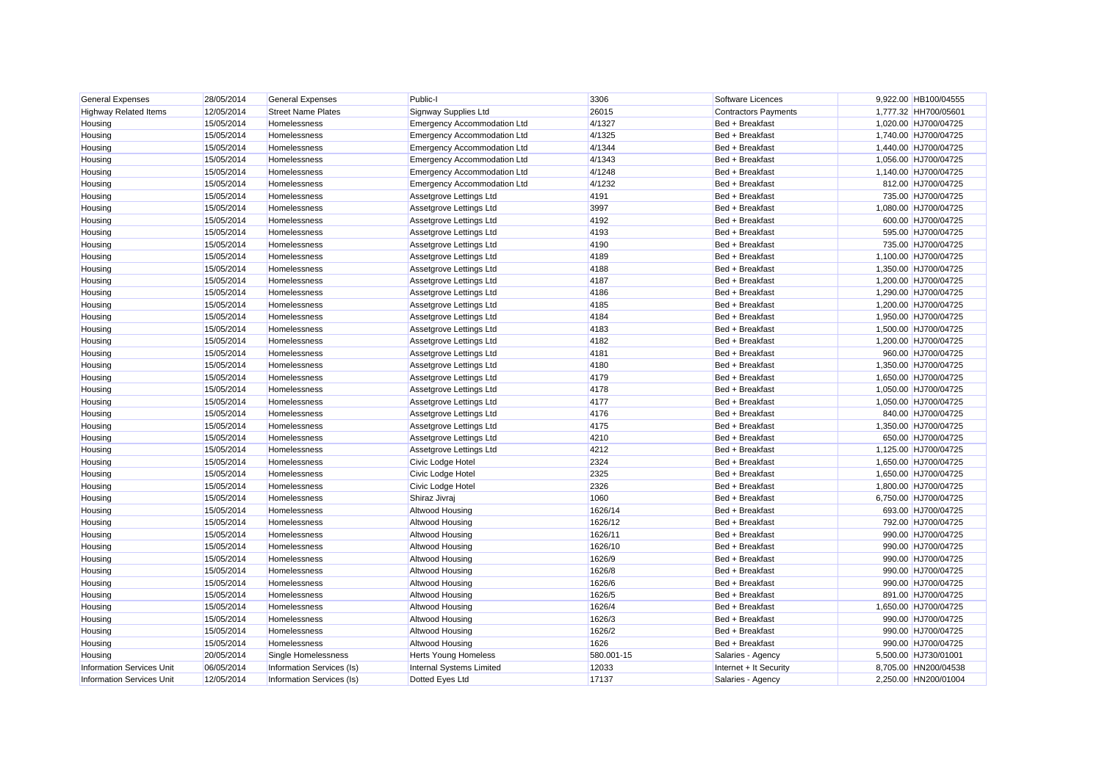| <b>General Expenses</b>          | 28/05/2014 | <b>General Expenses</b>   | Public-I                           | 3306       | Software Licences           | 9,922.00 HB100/04555 |
|----------------------------------|------------|---------------------------|------------------------------------|------------|-----------------------------|----------------------|
| <b>Highway Related Items</b>     | 12/05/2014 | <b>Street Name Plates</b> | Signway Supplies Ltd               | 26015      | <b>Contractors Payments</b> | 1,777.32 HH700/05601 |
| Housing                          | 15/05/2014 | Homelessness              | <b>Emergency Accommodation Ltd</b> | 4/1327     | Bed + Breakfast             | 1,020.00 HJ700/04725 |
| Housing                          | 15/05/2014 | Homelessness              | <b>Emergency Accommodation Ltd</b> | 4/1325     | Bed + Breakfast             | 1,740.00 HJ700/04725 |
| Housing                          | 15/05/2014 | Homelessness              | <b>Emergency Accommodation Ltd</b> | 4/1344     | Bed + Breakfast             | 1,440.00 HJ700/04725 |
| Housing                          | 15/05/2014 | Homelessness              | <b>Emergency Accommodation Ltd</b> | 4/1343     | Bed + Breakfast             | 1,056.00 HJ700/04725 |
| Housing                          | 15/05/2014 | <b>Homelessness</b>       | <b>Emergency Accommodation Ltd</b> | 4/1248     | Bed + Breakfast             | 1,140.00 HJ700/04725 |
| Housing                          | 15/05/2014 | Homelessness              | <b>Emergency Accommodation Ltd</b> | 4/1232     | Bed + Breakfast             | 812.00 HJ700/04725   |
| Housing                          | 15/05/2014 | Homelessness              | Assetgrove Lettings Ltd            | 4191       | Bed + Breakfast             | 735.00 HJ700/04725   |
| Housing                          | 15/05/2014 | Homelessness              | Assetgrove Lettings Ltd            | 3997       | Bed + Breakfast             | 1,080.00 HJ700/04725 |
| Housing                          | 15/05/2014 | Homelessness              | Assetgrove Lettings Ltd            | 4192       | Bed + Breakfast             | 600.00 HJ700/04725   |
| Housing                          | 15/05/2014 | Homelessness              | Assetgrove Lettings Ltd            | 4193       | Bed + Breakfast             | 595.00 HJ700/04725   |
| Housing                          | 15/05/2014 | Homelessness              | Assetgrove Lettings Ltd            | 4190       | Bed + Breakfast             | 735.00 HJ700/04725   |
| Housing                          | 15/05/2014 | Homelessness              | Assetgrove Lettings Ltd            | 4189       | Bed + Breakfast             | 1,100.00 HJ700/04725 |
| Housing                          | 15/05/2014 | Homelessness              | Assetgrove Lettings Ltd            | 4188       | Bed + Breakfast             | 1,350.00 HJ700/04725 |
| Housing                          | 15/05/2014 | Homelessness              | Assetgrove Lettings Ltd            | 4187       | Bed + Breakfast             | 1,200.00 HJ700/04725 |
| Housing                          | 15/05/2014 | Homelessness              | Assetgrove Lettings Ltd            | 4186       | Bed + Breakfast             | 1,290.00 HJ700/04725 |
| Housing                          | 15/05/2014 | Homelessness              | Assetgrove Lettings Ltd            | 4185       | Bed + Breakfast             | 1,200.00 HJ700/04725 |
| Housing                          | 15/05/2014 | Homelessness              | Assetgrove Lettings Ltd            | 4184       | Bed + Breakfast             | 1,950.00 HJ700/04725 |
| Housing                          | 15/05/2014 | Homelessness              | Assetgrove Lettings Ltd            | 4183       | Bed + Breakfast             | 1,500.00 HJ700/04725 |
| Housing                          | 15/05/2014 | Homelessness              | Assetgrove Lettings Ltd            | 4182       | Bed + Breakfast             | 1,200.00 HJ700/04725 |
| Housing                          | 15/05/2014 | Homelessness              | Assetgrove Lettings Ltd            | 4181       | Bed + Breakfast             | 960.00 HJ700/04725   |
| Housing                          | 15/05/2014 | Homelessness              | Assetgrove Lettings Ltd            | 4180       | Bed + Breakfast             | 1,350.00 HJ700/04725 |
| Housing                          | 15/05/2014 | Homelessness              | Assetgrove Lettings Ltd            | 4179       | Bed + Breakfast             | 1,650.00 HJ700/04725 |
| Housing                          | 15/05/2014 | Homelessness              | Assetgrove Lettings Ltd            | 4178       | Bed + Breakfast             | 1,050.00 HJ700/04725 |
| Housing                          | 15/05/2014 | Homelessness              | Assetgrove Lettings Ltd            | 4177       | Bed + Breakfast             | 1,050.00 HJ700/04725 |
| Housing                          | 15/05/2014 | Homelessness              | Assetgrove Lettings Ltd            | 4176       | Bed + Breakfast             | 840.00 HJ700/04725   |
| Housing                          | 15/05/2014 | Homelessness              | Assetgrove Lettings Ltd            | 4175       | Bed + Breakfast             | 1,350.00 HJ700/04725 |
| Housing                          | 15/05/2014 | Homelessness              | Assetgrove Lettings Ltd            | 4210       | Bed + Breakfast             | 650.00 HJ700/04725   |
| Housing                          | 15/05/2014 | Homelessness              | Assetgrove Lettings Ltd            | 4212       | Bed + Breakfast             | 1,125.00 HJ700/04725 |
| Housing                          | 15/05/2014 | Homelessness              | Civic Lodge Hotel                  | 2324       | Bed + Breakfast             | 1,650.00 HJ700/04725 |
| Housing                          | 15/05/2014 | Homelessness              | Civic Lodge Hotel                  | 2325       | Bed + Breakfast             | 1,650.00 HJ700/04725 |
| Housing                          | 15/05/2014 | Homelessness              | Civic Lodge Hotel                  | 2326       | Bed + Breakfast             | 1,800.00 HJ700/04725 |
| Housing                          | 15/05/2014 | Homelessness              | Shiraz Jivraj                      | 1060       | Bed + Breakfast             | 6,750.00 HJ700/04725 |
| Housing                          | 15/05/2014 | Homelessness              | Altwood Housing                    | 1626/14    | Bed + Breakfast             | 693.00 HJ700/04725   |
| Housing                          | 15/05/2014 | Homelessness              | Altwood Housing                    | 1626/12    | Bed + Breakfast             | 792.00 HJ700/04725   |
| Housing                          | 15/05/2014 | Homelessness              | Altwood Housing                    | 1626/11    | Bed + Breakfast             | 990.00 HJ700/04725   |
| Housing                          | 15/05/2014 | Homelessness              | Altwood Housing                    | 1626/10    | Bed + Breakfast             | 990.00 HJ700/04725   |
| Housing                          | 15/05/2014 | Homelessness              | Altwood Housing                    | 1626/9     | Bed + Breakfast             | 990.00 HJ700/04725   |
| Housing                          | 15/05/2014 | Homelessness              | Altwood Housing                    | 1626/8     | Bed + Breakfast             | 990.00 HJ700/04725   |
| Housing                          | 15/05/2014 | Homelessness              | Altwood Housing                    | 1626/6     | Bed + Breakfast             | 990.00 HJ700/04725   |
| Housing                          | 15/05/2014 | Homelessness              | Altwood Housing                    | 1626/5     | Bed + Breakfast             | 891.00 HJ700/04725   |
| Housing                          | 15/05/2014 | Homelessness              | Altwood Housing                    | 1626/4     | Bed + Breakfast             | 1,650.00 HJ700/04725 |
| Housing                          | 15/05/2014 | Homelessness              | Altwood Housing                    | 1626/3     | Bed + Breakfast             | 990.00 HJ700/04725   |
| Housing                          | 15/05/2014 | Homelessness              | Altwood Housing                    | 1626/2     | Bed + Breakfast             | 990.00 HJ700/04725   |
| Housing                          | 15/05/2014 | Homelessness              | Altwood Housing                    | 1626       | Bed + Breakfast             | 990.00 HJ700/04725   |
| Housing                          | 20/05/2014 | Single Homelessness       | <b>Herts Young Homeless</b>        | 580.001-15 | Salaries - Agency           | 5,500.00 HJ730/01001 |
| <b>Information Services Unit</b> | 06/05/2014 | Information Services (Is) | <b>Internal Systems Limited</b>    | 12033      | Internet + It Security      | 8.705.00 HN200/04538 |
| <b>Information Services Unit</b> | 12/05/2014 | Information Services (Is) | Dotted Eyes Ltd                    | 17137      | Salaries - Agency           | 2.250.00 HN200/01004 |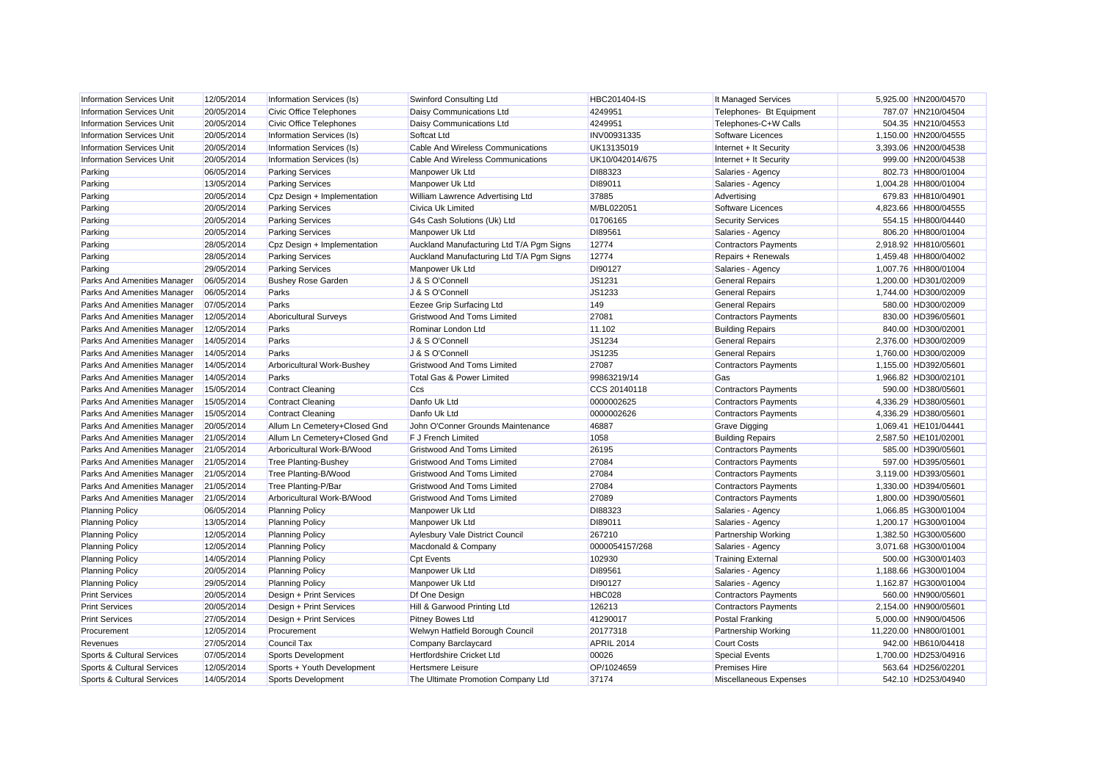| <b>Information Services Unit</b>      | 12/05/2014 | Information Services (Is)      | Swinford Consulting Ltd                  | HBC201404-IS      | It Managed Services         | 5,925.00 HN200/04570  |
|---------------------------------------|------------|--------------------------------|------------------------------------------|-------------------|-----------------------------|-----------------------|
| <b>Information Services Unit</b>      | 20/05/2014 | Civic Office Telephones        | Daisy Communications Ltd                 | 4249951           | Telephones- Bt Equipment    | 787.07 HN210/04504    |
| <b>Information Services Unit</b>      | 20/05/2014 | <b>Civic Office Telephones</b> | Daisy Communications Ltd                 | 4249951           | Telephones-C+W Calls        | 504.35 HN210/04553    |
| <b>Information Services Unit</b>      | 20/05/2014 | Information Services (Is)      | Softcat Ltd                              | INV00931335       | Software Licences           | 1,150.00 HN200/04555  |
| <b>Information Services Unit</b>      | 20/05/2014 | Information Services (Is)      | Cable And Wireless Communications        | UK13135019        | Internet + It Security      | 3,393.06 HN200/04538  |
| <b>Information Services Unit</b>      | 20/05/2014 | Information Services (Is)      | Cable And Wireless Communications        | UK10/042014/675   | Internet + It Security      | 999.00 HN200/04538    |
| Parking                               | 06/05/2014 | <b>Parking Services</b>        | Manpower Uk Ltd                          | DI88323           | Salaries - Agency           | 802.73 HH800/01004    |
| Parking                               | 13/05/2014 | <b>Parking Services</b>        | Manpower Uk Ltd                          | DI89011           | Salaries - Agency           | 1,004.28 HH800/01004  |
| Parking                               | 20/05/2014 | Cpz Design + Implementation    | William Lawrence Advertising Ltd         | 37885             | Advertising                 | 679.83 HH810/04901    |
| Parking                               | 20/05/2014 | <b>Parking Services</b>        | Civica Uk Limited                        | M/BL022051        | Software Licences           | 4,823.66 HH800/04555  |
| Parking                               | 20/05/2014 | <b>Parking Services</b>        | G4s Cash Solutions (Uk) Ltd              | 01706165          | <b>Security Services</b>    | 554.15 HH800/04440    |
| Parking                               | 20/05/2014 | <b>Parking Services</b>        | Manpower Uk Ltd                          | DI89561           | Salaries - Agency           | 806.20 HH800/01004    |
| Parking                               | 28/05/2014 | Cpz Design + Implementation    | Auckland Manufacturing Ltd T/A Pgm Signs | 12774             | <b>Contractors Payments</b> | 2,918.92 HH810/05601  |
| Parking                               | 28/05/2014 | <b>Parking Services</b>        | Auckland Manufacturing Ltd T/A Pgm Signs | 12774             | Repairs + Renewals          | 1,459.48 HH800/04002  |
| Parking                               | 29/05/2014 | <b>Parking Services</b>        | Manpower Uk Ltd                          | DI90127           | Salaries - Agency           | 1,007.76 HH800/01004  |
| Parks And Amenities Manager           | 06/05/2014 | <b>Bushey Rose Garden</b>      | J & S O'Connell                          | JS1231            | <b>General Repairs</b>      | 1,200.00 HD301/02009  |
| Parks And Amenities Manager           | 06/05/2014 | Parks                          | J & S O'Connell                          | JS1233            | <b>General Repairs</b>      | 1,744.00 HD300/02009  |
| Parks And Amenities Manager           | 07/05/2014 | Parks                          | Eezee Grip Surfacing Ltd                 | 149               | <b>General Repairs</b>      | 580.00 HD300/02009    |
| Parks And Amenities Manager           | 12/05/2014 | <b>Aboricultural Surveys</b>   | <b>Gristwood And Toms Limited</b>        | 27081             | <b>Contractors Payments</b> | 830.00 HD396/05601    |
| Parks And Amenities Manager           | 12/05/2014 | Parks                          | Rominar London Ltd                       | 11.102            | <b>Building Repairs</b>     | 840.00 HD300/02001    |
| Parks And Amenities Manager           | 14/05/2014 | Parks                          | J & S O'Connell                          | JS1234            | <b>General Repairs</b>      | 2,376.00 HD300/02009  |
| Parks And Amenities Manager           | 14/05/2014 | Parks                          | J & S O'Connell                          | JS1235            | <b>General Repairs</b>      | 1.760.00 HD300/02009  |
| Parks And Amenities Manager           | 14/05/2014 | Arboricultural Work-Bushey     | <b>Gristwood And Toms Limited</b>        | 27087             | <b>Contractors Payments</b> | 1,155.00 HD392/05601  |
| Parks And Amenities Manager           | 14/05/2014 | Parks                          | Total Gas & Power Limited                | 99863219/14       | Gas                         | 1,966.82 HD300/02101  |
| Parks And Amenities Manager           | 15/05/2014 | <b>Contract Cleaning</b>       | Ccs                                      | CCS 20140118      | <b>Contractors Payments</b> | 590.00 HD380/05601    |
| Parks And Amenities Manager           | 15/05/2014 | <b>Contract Cleaning</b>       | Danfo Uk Ltd                             | 0000002625        | <b>Contractors Payments</b> | 4,336.29 HD380/05601  |
| Parks And Amenities Manager           | 15/05/2014 | <b>Contract Cleaning</b>       | Danfo Uk Ltd                             | 0000002626        | <b>Contractors Payments</b> | 4,336.29 HD380/05601  |
| Parks And Amenities Manager           | 20/05/2014 | Allum Ln Cemetery+Closed Gnd   | John O'Conner Grounds Maintenance        | 46887             | Grave Digging               | 1,069.41 HE101/04441  |
| Parks And Amenities Manager           | 21/05/2014 | Allum Ln Cemetery+Closed Gnd   | F J French Limited                       | 1058              | <b>Building Repairs</b>     | 2,587.50 HE101/02001  |
| Parks And Amenities Manager           | 21/05/2014 | Arboricultural Work-B/Wood     | Gristwood And Toms Limited               | 26195             | <b>Contractors Payments</b> | 585.00 HD390/05601    |
| Parks And Amenities Manager           | 21/05/2014 | <b>Tree Planting-Bushey</b>    | <b>Gristwood And Toms Limited</b>        | 27084             | <b>Contractors Payments</b> | 597.00 HD395/05601    |
| Parks And Amenities Manager           | 21/05/2014 | Tree Planting-B/Wood           | <b>Gristwood And Toms Limited</b>        | 27084             | <b>Contractors Payments</b> | 3,119.00 HD393/05601  |
| Parks And Amenities Manager           | 21/05/2014 | Tree Planting-P/Bar            | <b>Gristwood And Toms Limited</b>        | 27084             | <b>Contractors Payments</b> | 1,330.00 HD394/05601  |
| Parks And Amenities Manager           | 21/05/2014 | Arboricultural Work-B/Wood     | <b>Gristwood And Toms Limited</b>        | 27089             | <b>Contractors Payments</b> | 1,800.00 HD390/05601  |
| <b>Planning Policy</b>                | 06/05/2014 | <b>Planning Policy</b>         | Manpower Uk Ltd                          | DI88323           | Salaries - Agency           | 1,066.85 HG300/01004  |
| <b>Planning Policy</b>                | 13/05/2014 | <b>Planning Policy</b>         | Manpower Uk Ltd                          | DI89011           | Salaries - Agency           | 1,200.17 HG300/01004  |
| <b>Planning Policy</b>                | 12/05/2014 | <b>Planning Policy</b>         | Aylesbury Vale District Council          | 267210            | Partnership Working         | 1,382.50 HG300/05600  |
| <b>Planning Policy</b>                | 12/05/2014 | <b>Planning Policy</b>         | Macdonald & Company                      | 0000054157/268    | Salaries - Agency           | 3,071.68 HG300/01004  |
| <b>Planning Policy</b>                | 14/05/2014 | <b>Planning Policy</b>         | <b>Cpt Events</b>                        | 102930            | <b>Training External</b>    | 500.00 HG300/01403    |
| <b>Planning Policy</b>                | 20/05/2014 | <b>Planning Policy</b>         | Manpower Uk Ltd                          | DI89561           | Salaries - Agency           | 1,188.66 HG300/01004  |
| <b>Planning Policy</b>                | 29/05/2014 | <b>Planning Policy</b>         | Manpower Uk Ltd                          | DI90127           | Salaries - Agency           | 1,162.87 HG300/01004  |
| <b>Print Services</b>                 | 20/05/2014 | Design + Print Services        | Df One Design                            | <b>HBC028</b>     | <b>Contractors Payments</b> | 560.00 HN900/05601    |
| <b>Print Services</b>                 | 20/05/2014 | Design + Print Services        | Hill & Garwood Printing Ltd              | 126213            | <b>Contractors Payments</b> | 2,154.00 HN900/05601  |
| <b>Print Services</b>                 | 27/05/2014 | Design + Print Services        | <b>Pitney Bowes Ltd</b>                  | 41290017          | <b>Postal Franking</b>      | 5,000.00 HN900/04506  |
| Procurement                           | 12/05/2014 | Procurement                    | Welwyn Hatfield Borough Council          | 20177318          | Partnership Working         | 11,220.00 HN800/01001 |
| Revenues                              | 27/05/2014 | <b>Council Tax</b>             | Company Barclaycard                      | <b>APRIL 2014</b> | <b>Court Costs</b>          | 942.00 HB610/04418    |
| Sports & Cultural Services            | 07/05/2014 | Sports Development             | <b>Hertfordshire Cricket Ltd</b>         | 00026             | <b>Special Events</b>       | 1,700.00 HD253/04916  |
| <b>Sports &amp; Cultural Services</b> | 12/05/2014 | Sports + Youth Development     | Hertsmere Leisure                        | OP/1024659        | <b>Premises Hire</b>        | 563.64 HD256/02201    |
| Sports & Cultural Services            | 14/05/2014 | <b>Sports Development</b>      | The Ultimate Promotion Company Ltd       | 37174             | Miscellaneous Expenses      | 542.10 HD253/04940    |
|                                       |            |                                |                                          |                   |                             |                       |